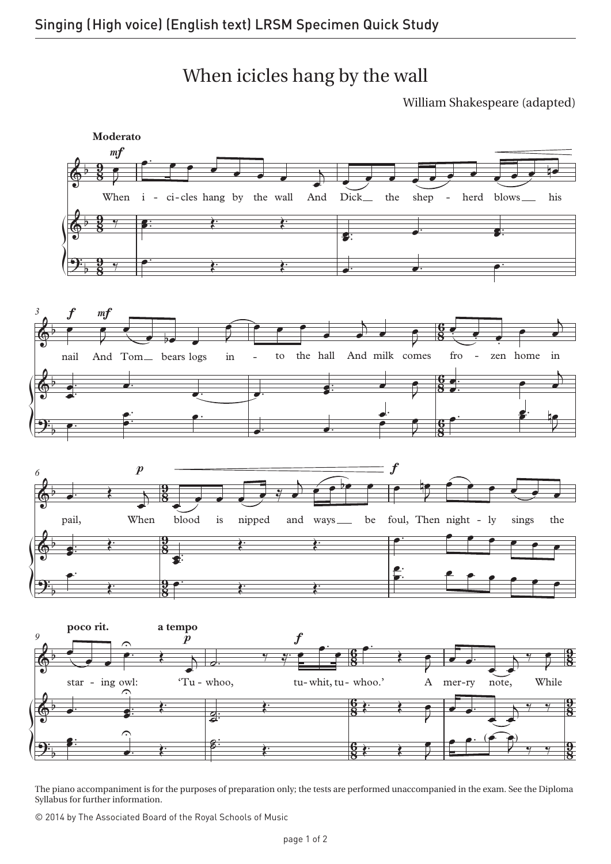When icicles hang by the wall

William Shakespeare (adapted)



The piano accompaniment is for the purposes of preparation only; the tests are performed unaccompanied in the exam. See the Diploma Syllabus for further information.

© 2014 by The Associated Board of the Royal Schools of Music